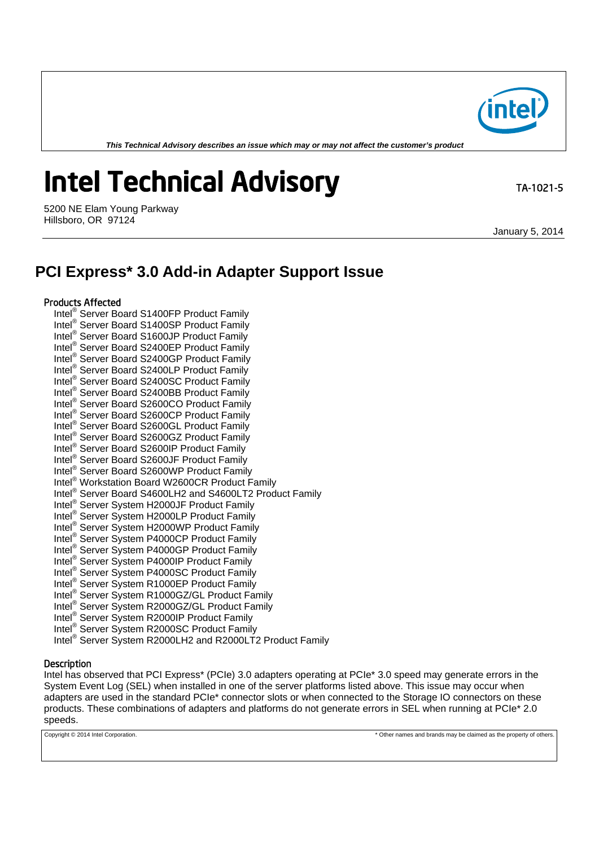*This Technical Advisory describes an issue which may or may not affect the customer's product*

# **Intel Technical Advisory TA-1021-5**

5200 NE Elam Young Parkway Hillsboro, OR 97124

January 5, 2014

# **PCI Express\* 3.0 Add-in Adapter Support Issue**

### Products Affected

Intel® Server Board S1400FP Product Family Intel® Server Board S1400SP Product Family Intel® Server Board S1600JP Product Family Intel® Server Board S2400EP Product Family Intel® Server Board S2400GP Product Family Intel® Server Board S2400LP Product Family Intel® Server Board S2400SC Product Family Intel® Server Board S2400BB Product Family Intel® Server Board S2600CO Product Family Intel® Server Board S2600CP Product Family Intel® Server Board S2600GL Product Family Intel® Server Board S2600GZ Product Family Intel<sup>®</sup> Server Board S2600IP Product Family Intel® Server Board S2600JF Product Family Intel® Server Board S2600WP Product Family Intel® Workstation Board W2600CR Product Family Intel® Server Board S4600LH2 and S4600LT2 Product Family Intel® Server System H2000JF Product Family Intel® Server System H2000LP Product Family Intel® Server System H2000WP Product Family Intel® Server System P4000CP Product Family Intel® Server System P4000GP Product Family Intel<sup>®</sup> Server System P4000IP Product Family Intel® Server System P4000SC Product Family Intel® Server System R1000EP Product Family Intel® Server System R1000GZ/GL Product Family Intel® Server System R2000GZ/GL Product Family Intel® Server System R2000IP Product Family Intel® Server System R2000SC Product Family Intel® Server System R2000LH2 and R2000LT2 Product Family

## **Description**

Intel has observed that PCI Express\* (PCIe) 3.0 adapters operating at PCIe\* 3.0 speed may generate errors in the System Event Log (SEL) when installed in one of the server platforms listed above. This issue may occur when adapters are used in the standard PCIe\* connector slots or when connected to the Storage IO connectors on these products. These combinations of adapters and platforms do not generate errors in SEL when running at PCIe\* 2.0 speeds.